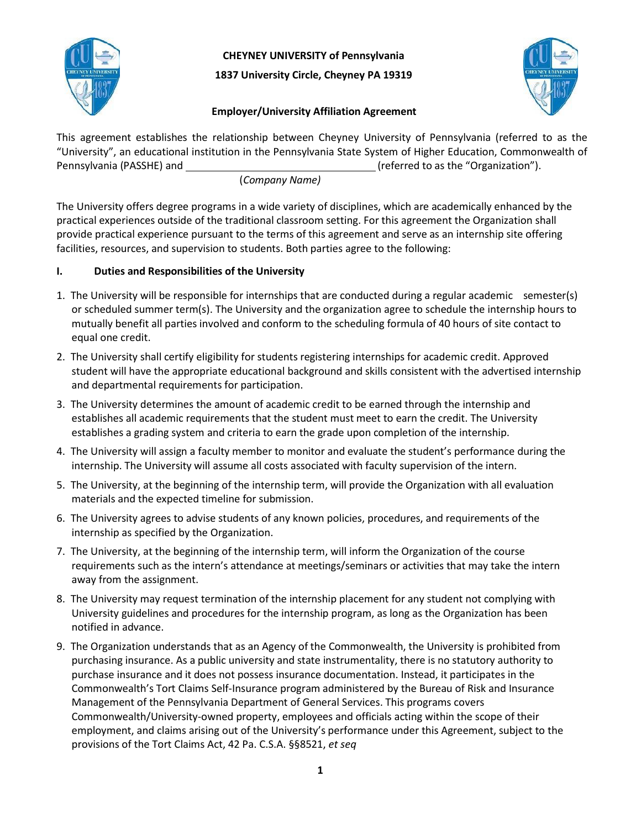

# **CHEYNEY UNIVERSITY of Pennsylvania 1837 University Circle, Cheyney PA 19319**



## **Employer/University Affiliation Agreement**

This agreement establishes the relationship between Cheyney University of Pennsylvania (referred to as the "University", an educational institution in the Pennsylvania State System of Higher Education, Commonwealth of Pennsylvania (PASSHE) and (referred to as the "Organization").

(*Company Name)*

The University offers degree programs in a wide variety of disciplines, which are academically enhanced by the practical experiences outside of the traditional classroom setting. For this agreement the Organization shall provide practical experience pursuant to the terms of this agreement and serve as an internship site offering facilities, resources, and supervision to students. Both parties agree to the following:

## **I. Duties and Responsibilities of the University**

- 1. The University will be responsible for internships that are conducted during a regular academic semester(s) or scheduled summer term(s). The University and the organization agree to schedule the internship hours to mutually benefit all parties involved and conform to the scheduling formula of 40 hours of site contact to equal one credit.
- 2. The University shall certify eligibility for students registering internships for academic credit. Approved student will have the appropriate educational background and skills consistent with the advertised internship and departmental requirements for participation.
- 3. The University determines the amount of academic credit to be earned through the internship and establishes all academic requirements that the student must meet to earn the credit. The University establishes a grading system and criteria to earn the grade upon completion of the internship.
- 4. The University will assign a faculty member to monitor and evaluate the student's performance during the internship. The University will assume all costs associated with faculty supervision of the intern.
- 5. The University, at the beginning of the internship term, will provide the Organization with all evaluation materials and the expected timeline for submission.
- 6. The University agrees to advise students of any known policies, procedures, and requirements of the internship as specified by the Organization.
- 7. The University, at the beginning of the internship term, will inform the Organization of the course requirements such as the intern's attendance at meetings/seminars or activities that may take the intern away from the assignment.
- 8. The University may request termination of the internship placement for any student not complying with University guidelines and procedures for the internship program, as long as the Organization has been notified in advance.
- 9. The Organization understands that as an Agency of the Commonwealth, the University is prohibited from purchasing insurance. As a public university and state instrumentality, there is no statutory authority to purchase insurance and it does not possess insurance documentation. Instead, it participates in the Commonwealth's Tort Claims Self-Insurance program administered by the Bureau of Risk and Insurance Management of the Pennsylvania Department of General Services. This programs covers Commonwealth/University-owned property, employees and officials acting within the scope of their employment, and claims arising out of the University's performance under this Agreement, subject to the provisions of the Tort Claims Act, 42 Pa. C.S.A. §§8521, *et seq*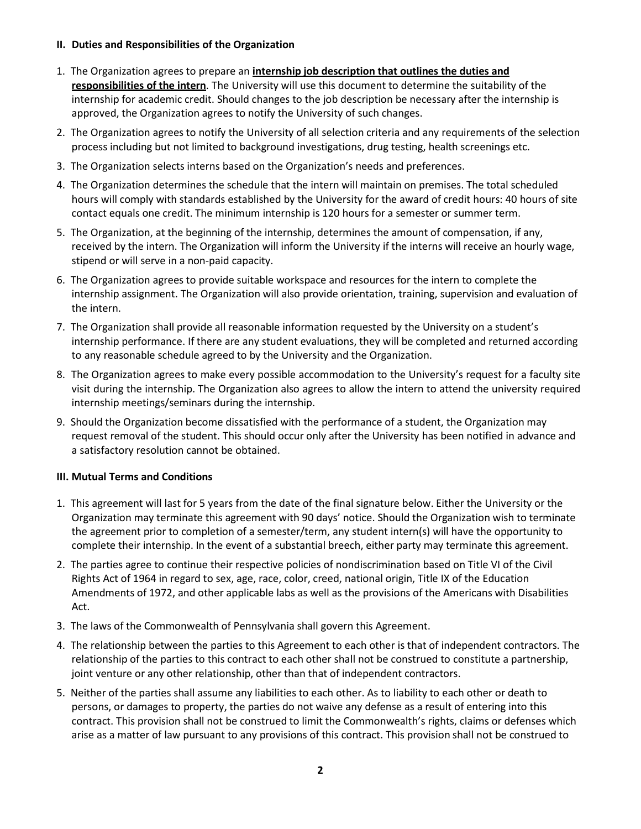### **II. Duties and Responsibilities of the Organization**

- 1. The Organization agrees to prepare an **internship job description that outlines the duties and responsibilities of the intern**. The University will use this document to determine the suitability of the internship for academic credit. Should changes to the job description be necessary after the internship is approved, the Organization agrees to notify the University of such changes.
- 2. The Organization agrees to notify the University of all selection criteria and any requirements of the selection process including but not limited to background investigations, drug testing, health screenings etc.
- 3. The Organization selects interns based on the Organization's needs and preferences.
- 4. The Organization determines the schedule that the intern will maintain on premises. The total scheduled hours will comply with standards established by the University for the award of credit hours: 40 hours of site contact equals one credit. The minimum internship is 120 hours for a semester or summer term.
- 5. The Organization, at the beginning of the internship, determines the amount of compensation, if any, received by the intern. The Organization will inform the University if the interns will receive an hourly wage, stipend or will serve in a non-paid capacity.
- 6. The Organization agrees to provide suitable workspace and resources for the intern to complete the internship assignment. The Organization will also provide orientation, training, supervision and evaluation of the intern.
- 7. The Organization shall provide all reasonable information requested by the University on a student's internship performance. If there are any student evaluations, they will be completed and returned according to any reasonable schedule agreed to by the University and the Organization.
- 8. The Organization agrees to make every possible accommodation to the University's request for a faculty site visit during the internship. The Organization also agrees to allow the intern to attend the university required internship meetings/seminars during the internship.
- 9. Should the Organization become dissatisfied with the performance of a student, the Organization may request removal of the student. This should occur only after the University has been notified in advance and a satisfactory resolution cannot be obtained.

## **III. Mutual Terms and Conditions**

- 1. This agreement will last for 5 years from the date of the final signature below. Either the University or the Organization may terminate this agreement with 90 days' notice. Should the Organization wish to terminate the agreement prior to completion of a semester/term, any student intern(s) will have the opportunity to complete their internship. In the event of a substantial breech, either party may terminate this agreement.
- 2. The parties agree to continue their respective policies of nondiscrimination based on Title VI of the Civil Rights Act of 1964 in regard to sex, age, race, color, creed, national origin, Title IX of the Education Amendments of 1972, and other applicable labs as well as the provisions of the Americans with Disabilities Act.
- 3. The laws of the Commonwealth of Pennsylvania shall govern this Agreement.
- 4. The relationship between the parties to this Agreement to each other is that of independent contractors. The relationship of the parties to this contract to each other shall not be construed to constitute a partnership, joint venture or any other relationship, other than that of independent contractors.
- 5. Neither of the parties shall assume any liabilities to each other. As to liability to each other or death to persons, or damages to property, the parties do not waive any defense as a result of entering into this contract. This provision shall not be construed to limit the Commonwealth's rights, claims or defenses which arise as a matter of law pursuant to any provisions of this contract. This provision shall not be construed to